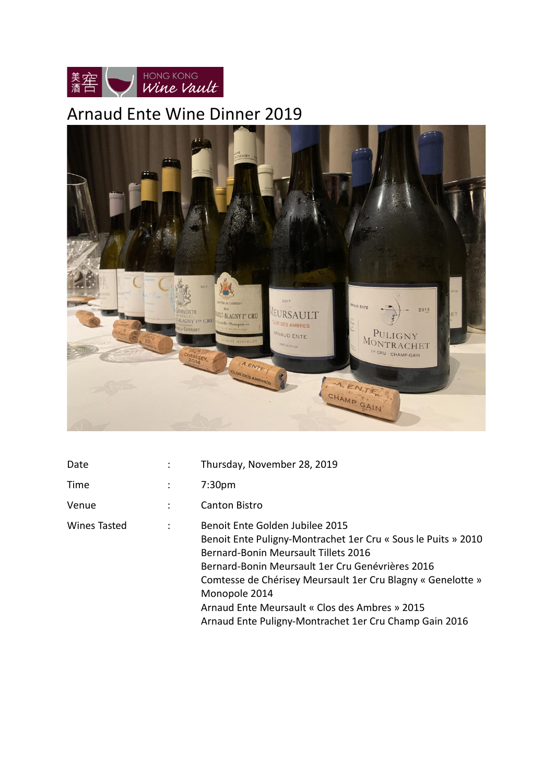

# Arnaud Ente Wine Dinner 2019



| Date                |                | Thursday, November 28, 2019                                                                                                                                                                                                                                                                                                                                                                     |
|---------------------|----------------|-------------------------------------------------------------------------------------------------------------------------------------------------------------------------------------------------------------------------------------------------------------------------------------------------------------------------------------------------------------------------------------------------|
| Time                | ÷              | 7:30 <sub>pm</sub>                                                                                                                                                                                                                                                                                                                                                                              |
| Venue               | $\ddot{\cdot}$ | <b>Canton Bistro</b>                                                                                                                                                                                                                                                                                                                                                                            |
| <b>Wines Tasted</b> | ÷              | Benoit Ente Golden Jubilee 2015<br>Benoit Ente Puligny-Montrachet 1er Cru « Sous le Puits » 2010<br><b>Bernard-Bonin Meursault Tillets 2016</b><br>Bernard-Bonin Meursault 1er Cru Genévrières 2016<br>Comtesse de Chérisey Meursault 1er Cru Blagny « Genelotte »<br>Monopole 2014<br>Arnaud Ente Meursault « Clos des Ambres » 2015<br>Arnaud Ente Puligny-Montrachet 1er Cru Champ Gain 2016 |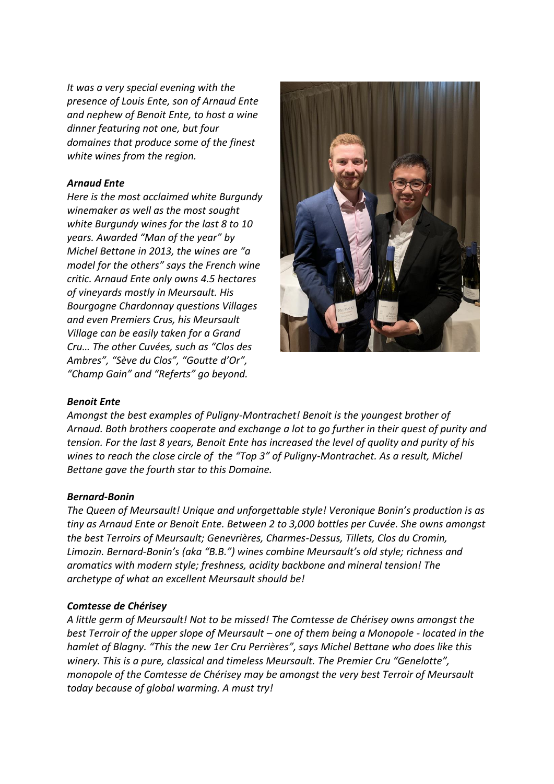*It was a very special evening with the presence of Louis Ente, son of Arnaud Ente and nephew of Benoit Ente, to host a wine dinner featuring not one, but four domaines that produce some of the finest white wines from the region.*

### *Arnaud Ente*

*Here is the most acclaimed white Burgundy winemaker as well as the most sought white Burgundy wines for the last 8 to 10 years. Awarded "Man of the year" by Michel Bettane in 2013, the wines are "a model for the others" says the French wine critic. Arnaud Ente only owns 4.5 hectares of vineyards mostly in Meursault. His Bourgogne Chardonnay questions Villages and even Premiers Crus, his Meursault Village can be easily taken for a Grand Cru… The other Cuvées, such as "Clos des Ambres", "Sève du Clos", "Goutte d'Or", "Champ Gain" and "Referts" go beyond.* 



#### *Benoit Ente*

*Amongst the best examples of Puligny-Montrachet! Benoit is the youngest brother of Arnaud. Both brothers cooperate and exchange a lot to go further in their quest of purity and tension. For the last 8 years, Benoit Ente has increased the level of quality and purity of his wines to reach the close circle of the "Top 3" of Puligny-Montrachet. As a result, Michel Bettane gave the fourth star to this Domaine.* 

#### *Bernard-Bonin*

*The Queen of Meursault! Unique and unforgettable style! Veronique Bonin's production is as tiny as Arnaud Ente or Benoit Ente. Between 2 to 3,000 bottles per Cuvée. She owns amongst the best Terroirs of Meursault; Genevrières, Charmes-Dessus, Tillets, Clos du Cromin, Limozin. Bernard-Bonin's (aka "B.B.") wines combine Meursault's old style; richness and aromatics with modern style; freshness, acidity backbone and mineral tension! The archetype of what an excellent Meursault should be!* 

#### *Comtesse de Chérisey*

*A little germ of Meursault! Not to be missed! The Comtesse de Chérisey owns amongst the best Terroir of the upper slope of Meursault – one of them being a Monopole - located in the hamlet of Blagny. "This the new 1er Cru Perrières", says Michel Bettane who does like this winery. This is a pure, classical and timeless Meursault. The Premier Cru "Genelotte", monopole of the Comtesse de Chérisey may be amongst the very best Terroir of Meursault today because of global warming. A must try!*